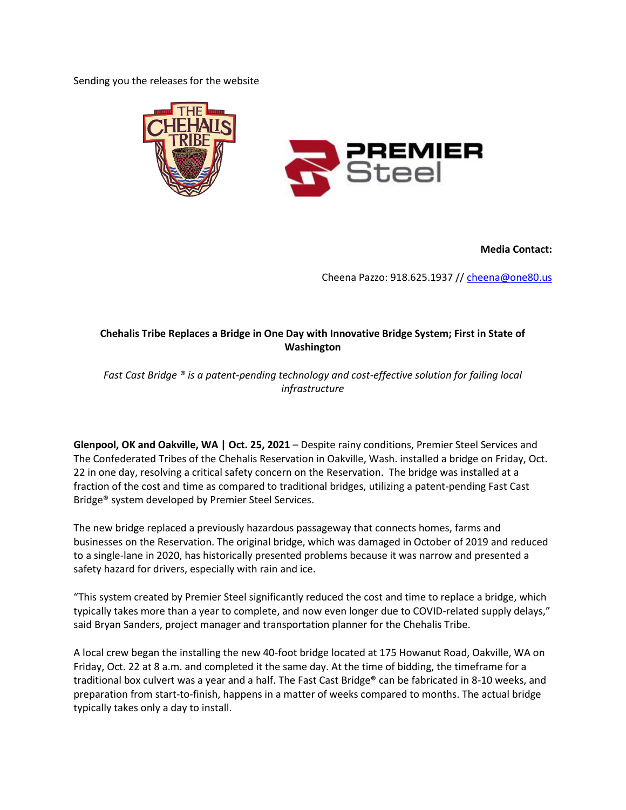Sending you the releases for the website



**Media Contact:**

Cheena Pazzo: 918.625.1937 /[/ cheena@one80.us](mailto:cheena@one80.us)

## **Chehalis Tribe Replaces a Bridge in One Day with Innovative Bridge System; First in State of Washington**

*Fast Cast Bridge ® is a patent-pending technology and cost-effective solution for failing local infrastructure*

**Glenpool, OK and Oakville, WA | Oct. 25, 2021** – Despite rainy conditions, Premier Steel Services and The Confederated Tribes of the Chehalis Reservation in Oakville, Wash. installed a bridge on Friday, Oct. 22 in one day, resolving a critical safety concern on the Reservation. The bridge was installed at a fraction of the cost and time as compared to traditional bridges, utilizing a patent-pending Fast Cast Bridge® system developed by Premier Steel Services.

The new bridge replaced a previously hazardous passageway that connects homes, farms and businesses on the Reservation. The original bridge, which was damaged in October of 2019 and reduced to a single-lane in 2020, has historically presented problems because it was narrow and presented a safety hazard for drivers, especially with rain and ice.

"This system created by Premier Steel significantly reduced the cost and time to replace a bridge, which typically takes more than a year to complete, and now even longer due to COVID-related supply delays," said Bryan Sanders, project manager and transportation planner for the Chehalis Tribe.

A local crew began the installing the new 40-foot bridge located at 175 Howanut Road, Oakville, WA on Friday, Oct. 22 at 8 a.m. and completed it the same day. At the time of bidding, the timeframe for a traditional box culvert was a year and a half. The Fast Cast Bridge® can be fabricated in 8-10 weeks, and preparation from start-to-finish, happens in a matter of weeks compared to months. The actual bridge typically takes only a day to install.